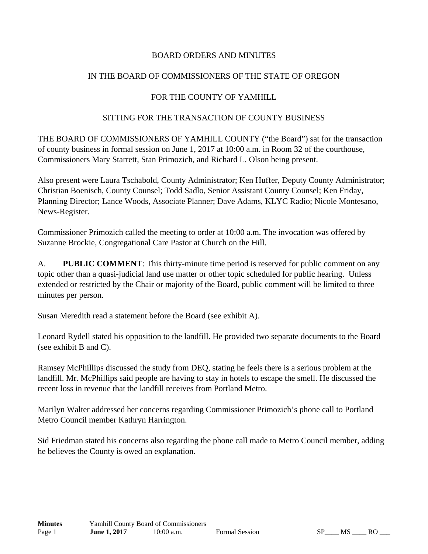## BOARD ORDERS AND MINUTES

# IN THE BOARD OF COMMISSIONERS OF THE STATE OF OREGON

# FOR THE COUNTY OF YAMHILL

## SITTING FOR THE TRANSACTION OF COUNTY BUSINESS

THE BOARD OF COMMISSIONERS OF YAMHILL COUNTY ("the Board") sat for the transaction of county business in formal session on June 1, 2017 at 10:00 a.m. in Room 32 of the courthouse, Commissioners Mary Starrett, Stan Primozich, and Richard L. Olson being present.

Also present were Laura Tschabold, County Administrator; Ken Huffer, Deputy County Administrator; Christian Boenisch, County Counsel; Todd Sadlo, Senior Assistant County Counsel; Ken Friday, Planning Director; Lance Woods, Associate Planner; Dave Adams, KLYC Radio; Nicole Montesano, News-Register.

Commissioner Primozich called the meeting to order at 10:00 a.m. The invocation was offered by Suzanne Brockie, Congregational Care Pastor at Church on the Hill.

A. **PUBLIC COMMENT**: This thirty-minute time period is reserved for public comment on any topic other than a quasi-judicial land use matter or other topic scheduled for public hearing. Unless extended or restricted by the Chair or majority of the Board, public comment will be limited to three minutes per person.

Susan Meredith read a statement before the Board (see exhibit A).

Leonard Rydell stated his opposition to the landfill. He provided two separate documents to the Board (see exhibit B and C).

Ramsey McPhillips discussed the study from DEQ, stating he feels there is a serious problem at the landfill. Mr. McPhillips said people are having to stay in hotels to escape the smell. He discussed the recent loss in revenue that the landfill receives from Portland Metro.

Marilyn Walter addressed her concerns regarding Commissioner Primozich's phone call to Portland Metro Council member Kathryn Harrington.

Sid Friedman stated his concerns also regarding the phone call made to Metro Council member, adding he believes the County is owed an explanation.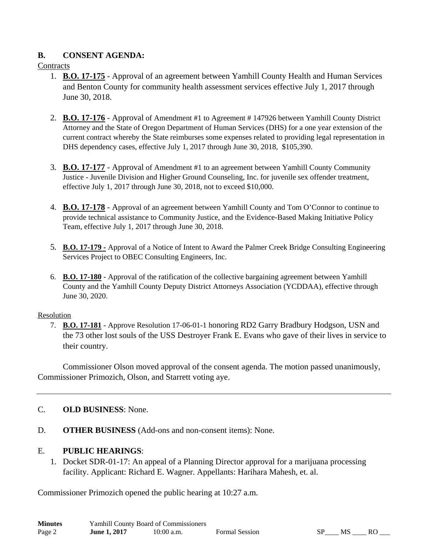## **B. CONSENT AGENDA:**

### **Contracts**

- 1. **B.O. 17-175** Approval of an agreement between Yamhill County Health and Human Services and Benton County for community health assessment services effective July 1, 2017 through June 30, 2018.
- 2. **B.O. 17-176** Approval of Amendment #1 to Agreement # 147926 between Yamhill County District Attorney and the State of Oregon Department of Human Services (DHS) for a one year extension of the current contract whereby the State reimburses some expenses related to providing legal representation in DHS dependency cases, effective July 1, 2017 through June 30, 2018, \$105,390.
- 3. **B.O. 17-177** Approval of Amendment #1 to an agreement between Yamhill County Community Justice - Juvenile Division and Higher Ground Counseling, Inc. for juvenile sex offender treatment, effective July 1, 2017 through June 30, 2018, not to exceed \$10,000.
- 4. **B.O. 17-178** Approval of an agreement between Yamhill County and Tom O'Connor to continue to provide technical assistance to Community Justice, and the Evidence-Based Making Initiative Policy Team, effective July 1, 2017 through June 30, 2018.
- 5. **B.O. 17-179 -** Approval of a Notice of Intent to Award the Palmer Creek Bridge Consulting Engineering Services Project to OBEC Consulting Engineers, Inc.
- 6. **B.O. 17-180** Approval of the ratification of the collective bargaining agreement between Yamhill County and the Yamhill County Deputy District Attorneys Association (YCDDAA), effective through June 30, 2020.

#### Resolution

7. **B.O. 17-181** - Approve Resolution 17-06-01-1 honoring RD2 Garry Bradbury Hodgson, USN and the 73 other lost souls of the USS Destroyer Frank E. Evans who gave of their lives in service to their country.

Commissioner Olson moved approval of the consent agenda. The motion passed unanimously, Commissioner Primozich, Olson, and Starrett voting aye.

## C. **OLD BUSINESS**: None.

D. **OTHER BUSINESS** (Add-ons and non-consent items): None.

## E. **PUBLIC HEARINGS**:

1. Docket SDR-01-17: An appeal of a Planning Director approval for a marijuana processing facility. Applicant: Richard E. Wagner. Appellants: Harihara Mahesh, et. al.

Commissioner Primozich opened the public hearing at 10:27 a.m.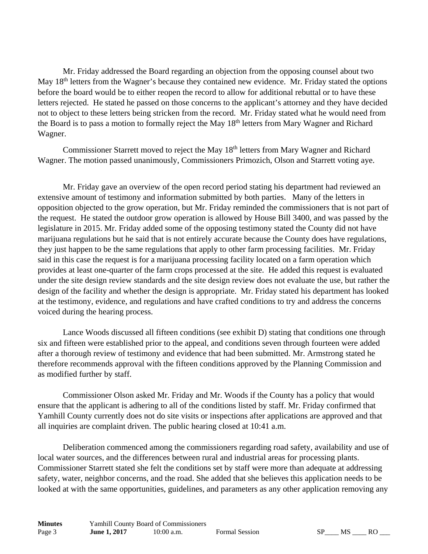Mr. Friday addressed the Board regarding an objection from the opposing counsel about two May 18<sup>th</sup> letters from the Wagner's because they contained new evidence. Mr. Friday stated the options before the board would be to either reopen the record to allow for additional rebuttal or to have these letters rejected. He stated he passed on those concerns to the applicant's attorney and they have decided not to object to these letters being stricken from the record. Mr. Friday stated what he would need from the Board is to pass a motion to formally reject the May 18<sup>th</sup> letters from Mary Wagner and Richard Wagner.

Commissioner Starrett moved to reject the May 18<sup>th</sup> letters from Mary Wagner and Richard Wagner. The motion passed unanimously, Commissioners Primozich, Olson and Starrett voting aye.

 Mr. Friday gave an overview of the open record period stating his department had reviewed an extensive amount of testimony and information submitted by both parties. Many of the letters in opposition objected to the grow operation, but Mr. Friday reminded the commissioners that is not part of the request. He stated the outdoor grow operation is allowed by House Bill 3400, and was passed by the legislature in 2015. Mr. Friday added some of the opposing testimony stated the County did not have marijuana regulations but he said that is not entirely accurate because the County does have regulations, they just happen to be the same regulations that apply to other farm processing facilities. Mr. Friday said in this case the request is for a marijuana processing facility located on a farm operation which provides at least one-quarter of the farm crops processed at the site. He added this request is evaluated under the site design review standards and the site design review does not evaluate the use, but rather the design of the facility and whether the design is appropriate. Mr. Friday stated his department has looked at the testimony, evidence, and regulations and have crafted conditions to try and address the concerns voiced during the hearing process.

 Lance Woods discussed all fifteen conditions (see exhibit D) stating that conditions one through six and fifteen were established prior to the appeal, and conditions seven through fourteen were added after a thorough review of testimony and evidence that had been submitted. Mr. Armstrong stated he therefore recommends approval with the fifteen conditions approved by the Planning Commission and as modified further by staff.

 Commissioner Olson asked Mr. Friday and Mr. Woods if the County has a policy that would ensure that the applicant is adhering to all of the conditions listed by staff. Mr. Friday confirmed that Yamhill County currently does not do site visits or inspections after applications are approved and that all inquiries are complaint driven. The public hearing closed at 10:41 a.m.

 Deliberation commenced among the commissioners regarding road safety, availability and use of local water sources, and the differences between rural and industrial areas for processing plants. Commissioner Starrett stated she felt the conditions set by staff were more than adequate at addressing safety, water, neighbor concerns, and the road. She added that she believes this application needs to be looked at with the same opportunities, guidelines, and parameters as any other application removing any